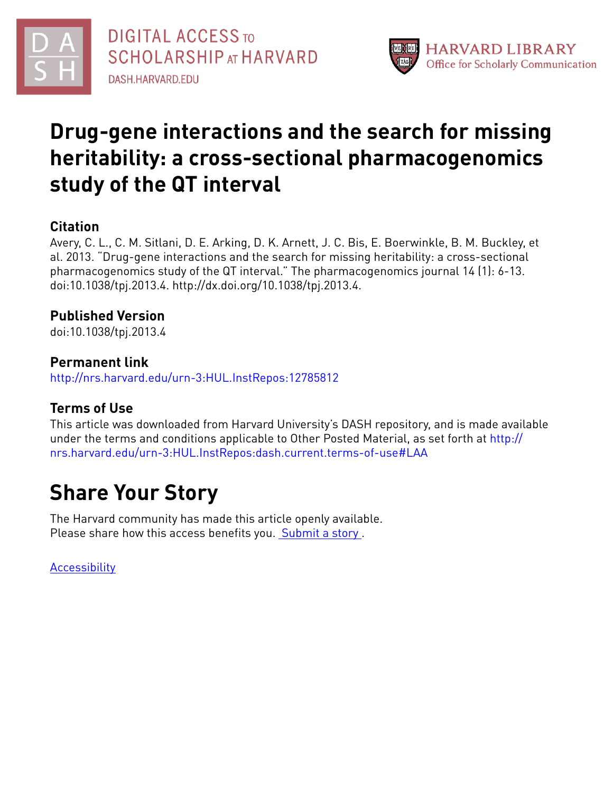



# **Drug-gene interactions and the search for missing heritability: a cross-sectional pharmacogenomics study of the QT interval**

# **Citation**

Avery, C. L., C. M. Sitlani, D. E. Arking, D. K. Arnett, J. C. Bis, E. Boerwinkle, B. M. Buckley, et al. 2013. "Drug-gene interactions and the search for missing heritability: a cross-sectional pharmacogenomics study of the QT interval." The pharmacogenomics journal 14 (1): 6-13. doi:10.1038/tpj.2013.4. http://dx.doi.org/10.1038/tpj.2013.4.

# **Published Version**

doi:10.1038/tpj.2013.4

## **Permanent link**

<http://nrs.harvard.edu/urn-3:HUL.InstRepos:12785812>

# **Terms of Use**

This article was downloaded from Harvard University's DASH repository, and is made available under the terms and conditions applicable to Other Posted Material, as set forth at [http://](http://nrs.harvard.edu/urn-3:HUL.InstRepos:dash.current.terms-of-use#LAA) [nrs.harvard.edu/urn-3:HUL.InstRepos:dash.current.terms-of-use#LAA](http://nrs.harvard.edu/urn-3:HUL.InstRepos:dash.current.terms-of-use#LAA)

# **Share Your Story**

The Harvard community has made this article openly available. Please share how this access benefits you. [Submit](http://osc.hul.harvard.edu/dash/open-access-feedback?handle=&title=Drug-gene%20interactions%20and%20the%20search%20for%20missing%20heritability:%20a%20cross-sectional%20pharmacogenomics%20study%20of%20the%20QT%20interval&community=1/4454685&collection=1/4454686&owningCollection1/4454686&harvardAuthors=a3d85860eb49476e0d63be4329fd8087&department) a story.

[Accessibility](https://dash.harvard.edu/pages/accessibility)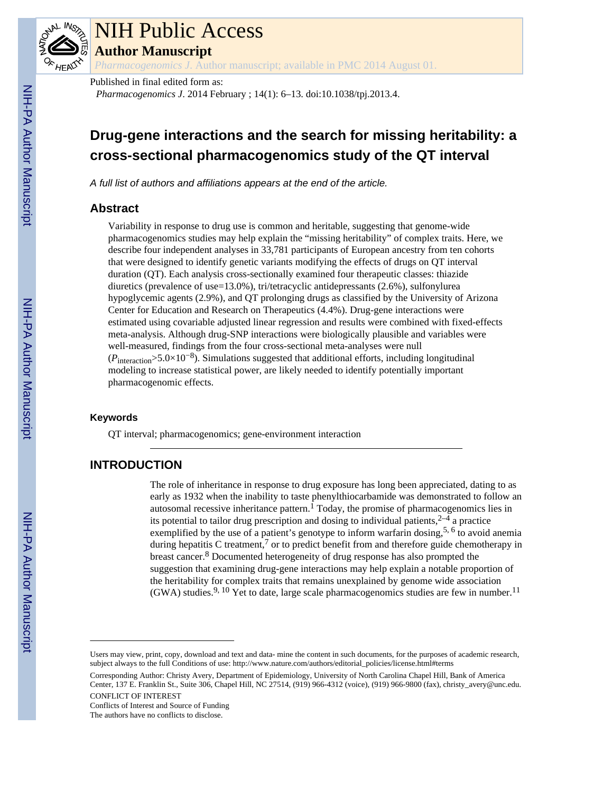

# NIH Public Access

**Author Manuscript**

*Pharmacogenomics J*. Author manuscript; available in PMC 2014 August 01.

Published in final edited form as:

*Pharmacogenomics J*. 2014 February ; 14(1): 6–13. doi:10.1038/tpj.2013.4.

# **Drug-gene interactions and the search for missing heritability: a cross-sectional pharmacogenomics study of the QT interval**

*A full list of authors and affiliations appears at the end of the article.*

## **Abstract**

Variability in response to drug use is common and heritable, suggesting that genome-wide pharmacogenomics studies may help explain the "missing heritability" of complex traits. Here, we describe four independent analyses in 33,781 participants of European ancestry from ten cohorts that were designed to identify genetic variants modifying the effects of drugs on QT interval duration (QT). Each analysis cross-sectionally examined four therapeutic classes: thiazide diuretics (prevalence of use=13.0%), tri/tetracyclic antidepressants (2.6%), sulfonylurea hypoglycemic agents (2.9%), and QT prolonging drugs as classified by the University of Arizona Center for Education and Research on Therapeutics (4.4%). Drug-gene interactions were estimated using covariable adjusted linear regression and results were combined with fixed-effects meta-analysis. Although drug-SNP interactions were biologically plausible and variables were well-measured, findings from the four cross-sectional meta-analyses were null  $(P_{\text{interaction}} > 5.0 \times 10^{-8})$ . Simulations suggested that additional efforts, including longitudinal modeling to increase statistical power, are likely needed to identify potentially important pharmacogenomic effects.

#### **Keywords**

QT interval; pharmacogenomics; gene-environment interaction

## **INTRODUCTION**

The role of inheritance in response to drug exposure has long been appreciated, dating to as early as 1932 when the inability to taste phenylthiocarbamide was demonstrated to follow an autosomal recessive inheritance pattern.<sup>1</sup> Today, the promise of pharmacogenomics lies in its potential to tailor drug prescription and dosing to individual patients,  $2-4$  a practice exemplified by the use of a patient's genotype to inform warfarin dosing,<sup>5, 6</sup> to avoid anemia during hepatitis C treatment,<sup>7</sup> or to predict benefit from and therefore guide chemotherapy in breast cancer.<sup>8</sup> Documented heterogeneity of drug response has also prompted the suggestion that examining drug-gene interactions may help explain a notable proportion of the heritability for complex traits that remains unexplained by genome wide association (GWA) studies.<sup>9, 10</sup> Yet to date, large scale pharmacogenomics studies are few in number.<sup>11</sup>

CONFLICT OF INTEREST Conflicts of Interest and Source of Funding The authors have no conflicts to disclose.

Users may view, print, copy, download and text and data- mine the content in such documents, for the purposes of academic research, subject always to the full Conditions of use: http://www.nature.com/authors/editorial\_policies/license.html#terms

Corresponding Author: Christy Avery, Department of Epidemiology, University of North Carolina Chapel Hill, Bank of America Center, 137 E. Franklin St., Suite 306, Chapel Hill, NC 27514, (919) 966-4312 (voice), (919) 966-9800 (fax), christy\_avery@unc.edu.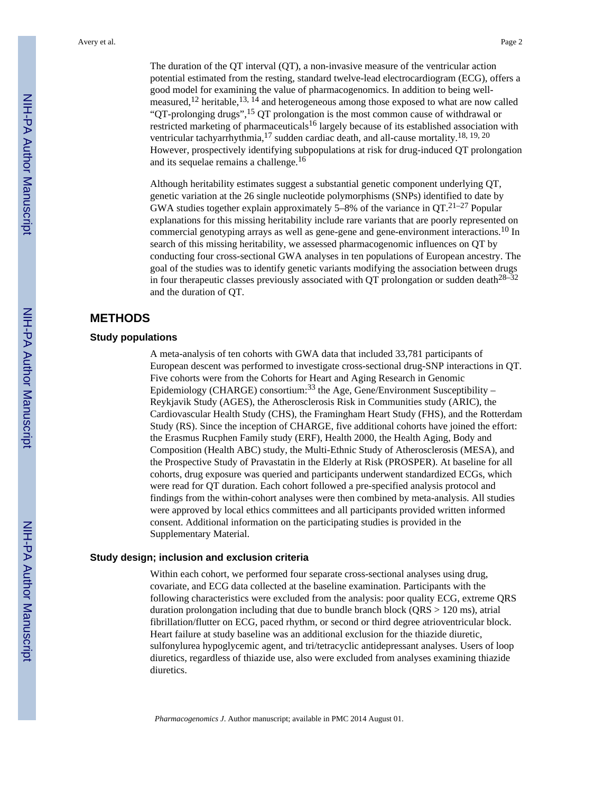The duration of the QT interval (QT), a non-invasive measure of the ventricular action potential estimated from the resting, standard twelve-lead electrocardiogram (ECG), offers a good model for examining the value of pharmacogenomics. In addition to being wellmeasured,<sup>12</sup> heritable,<sup>13,  $\overline{1}^4$ </sup> and heterogeneous among those exposed to what are now called "QT-prolonging drugs",<sup>15</sup> QT prolongation is the most common cause of withdrawal or restricted marketing of pharmaceuticals<sup>16</sup> largely because of its established association with ventricular tachyarrhythmia,  $^{17}$  sudden cardiac death, and all-cause mortality.<sup>18, 19, 20</sup> However, prospectively identifying subpopulations at risk for drug-induced QT prolongation and its sequelae remains a challenge.<sup>16</sup>

Although heritability estimates suggest a substantial genetic component underlying QT, genetic variation at the 26 single nucleotide polymorphisms (SNPs) identified to date by GWA studies together explain approximately 5–8% of the variance in QT.21–27 Popular explanations for this missing heritability include rare variants that are poorly represented on commercial genotyping arrays as well as gene-gene and gene-environment interactions.<sup>10</sup> In search of this missing heritability, we assessed pharmacogenomic influences on QT by conducting four cross-sectional GWA analyses in ten populations of European ancestry. The goal of the studies was to identify genetic variants modifying the association between drugs in four therapeutic classes previously associated with QT prolongation or sudden death<sup>28–32</sup> and the duration of QT.

#### **METHODS**

#### **Study populations**

A meta-analysis of ten cohorts with GWA data that included 33,781 participants of European descent was performed to investigate cross-sectional drug-SNP interactions in QT. Five cohorts were from the Cohorts for Heart and Aging Research in Genomic Epidemiology (CHARGE) consortium:<sup>33</sup> the Age, Gene/Environment Susceptibility – Reykjavik Study (AGES), the Atherosclerosis Risk in Communities study (ARIC), the Cardiovascular Health Study (CHS), the Framingham Heart Study (FHS), and the Rotterdam Study (RS). Since the inception of CHARGE, five additional cohorts have joined the effort: the Erasmus Rucphen Family study (ERF), Health 2000, the Health Aging, Body and Composition (Health ABC) study, the Multi-Ethnic Study of Atherosclerosis (MESA), and the Prospective Study of Pravastatin in the Elderly at Risk (PROSPER). At baseline for all cohorts, drug exposure was queried and participants underwent standardized ECGs, which were read for QT duration. Each cohort followed a pre-specified analysis protocol and findings from the within-cohort analyses were then combined by meta-analysis. All studies were approved by local ethics committees and all participants provided written informed consent. Additional information on the participating studies is provided in the Supplementary Material.

#### **Study design; inclusion and exclusion criteria**

Within each cohort, we performed four separate cross-sectional analyses using drug, covariate, and ECG data collected at the baseline examination. Participants with the following characteristics were excluded from the analysis: poor quality ECG, extreme QRS duration prolongation including that due to bundle branch block (QRS > 120 ms), atrial fibrillation/flutter on ECG, paced rhythm, or second or third degree atrioventricular block. Heart failure at study baseline was an additional exclusion for the thiazide diuretic, sulfonylurea hypoglycemic agent, and tri/tetracyclic antidepressant analyses. Users of loop diuretics, regardless of thiazide use, also were excluded from analyses examining thiazide diuretics.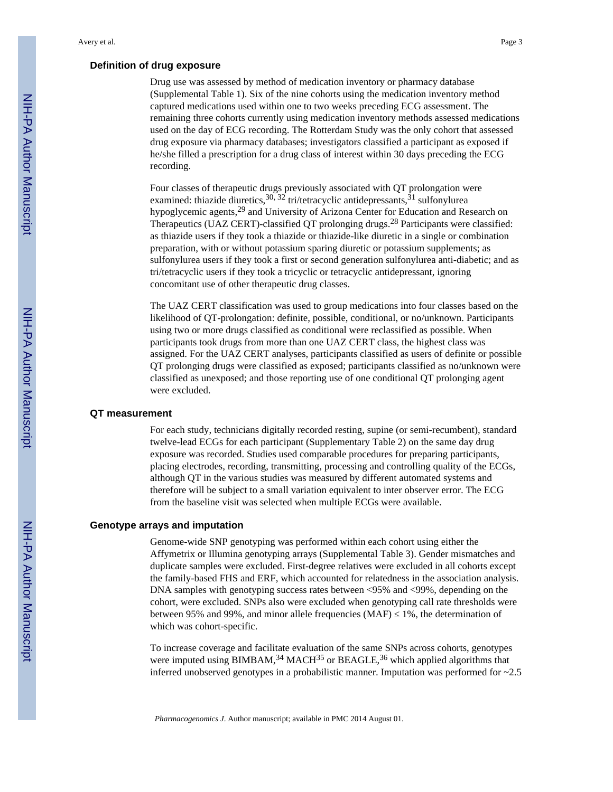#### **Definition of drug exposure**

Drug use was assessed by method of medication inventory or pharmacy database (Supplemental Table 1). Six of the nine cohorts using the medication inventory method captured medications used within one to two weeks preceding ECG assessment. The remaining three cohorts currently using medication inventory methods assessed medications used on the day of ECG recording. The Rotterdam Study was the only cohort that assessed drug exposure via pharmacy databases; investigators classified a participant as exposed if he/she filled a prescription for a drug class of interest within 30 days preceding the ECG recording.

Four classes of therapeutic drugs previously associated with QT prolongation were examined: thiazide diuretics,  $30$ ,  $32$  tri/tetracyclic antidepressants,  $31$  sulfonylurea hypoglycemic agents,<sup>29</sup> and University of Arizona Center for Education and Research on Therapeutics (UAZ CERT)-classified QT prolonging drugs.28 Participants were classified: as thiazide users if they took a thiazide or thiazide-like diuretic in a single or combination preparation, with or without potassium sparing diuretic or potassium supplements; as sulfonylurea users if they took a first or second generation sulfonylurea anti-diabetic; and as tri/tetracyclic users if they took a tricyclic or tetracyclic antidepressant, ignoring concomitant use of other therapeutic drug classes.

The UAZ CERT classification was used to group medications into four classes based on the likelihood of QT-prolongation: definite, possible, conditional, or no/unknown. Participants using two or more drugs classified as conditional were reclassified as possible. When participants took drugs from more than one UAZ CERT class, the highest class was assigned. For the UAZ CERT analyses, participants classified as users of definite or possible QT prolonging drugs were classified as exposed; participants classified as no/unknown were classified as unexposed; and those reporting use of one conditional QT prolonging agent were excluded.

#### **QT measurement**

For each study, technicians digitally recorded resting, supine (or semi-recumbent), standard twelve-lead ECGs for each participant (Supplementary Table 2) on the same day drug exposure was recorded. Studies used comparable procedures for preparing participants, placing electrodes, recording, transmitting, processing and controlling quality of the ECGs, although QT in the various studies was measured by different automated systems and therefore will be subject to a small variation equivalent to inter observer error. The ECG from the baseline visit was selected when multiple ECGs were available.

#### **Genotype arrays and imputation**

Genome-wide SNP genotyping was performed within each cohort using either the Affymetrix or Illumina genotyping arrays (Supplemental Table 3). Gender mismatches and duplicate samples were excluded. First-degree relatives were excluded in all cohorts except the family-based FHS and ERF, which accounted for relatedness in the association analysis. DNA samples with genotyping success rates between <95% and <99%, depending on the cohort, were excluded. SNPs also were excluded when genotyping call rate thresholds were between 95% and 99%, and minor allele frequencies (MAF) 1%, the determination of which was cohort-specific.

To increase coverage and facilitate evaluation of the same SNPs across cohorts, genotypes were imputed using  $\overline{BIMBAM}$ <sup>34</sup> MACH<sup>35</sup> or  $BEAGLE$ <sup>36</sup> which applied algorithms that inferred unobserved genotypes in a probabilistic manner. Imputation was performed for ~2.5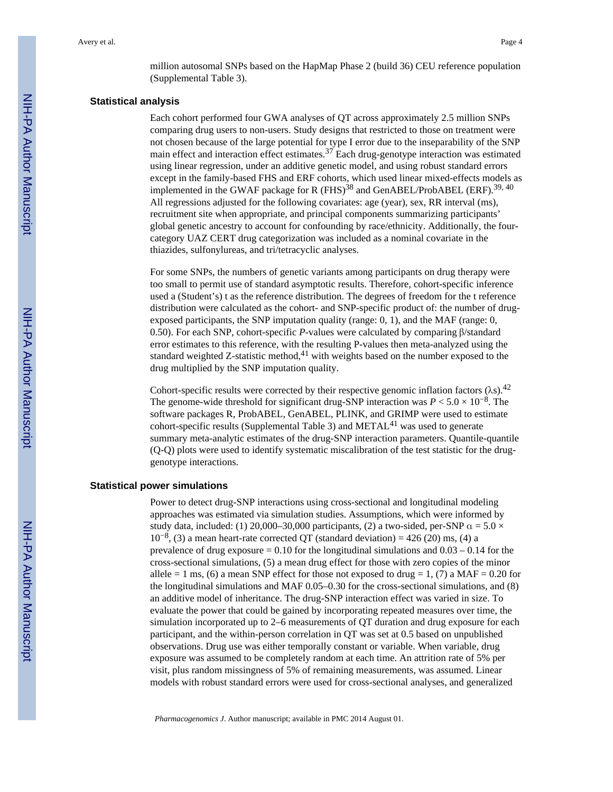million autosomal SNPs based on the HapMap Phase 2 (build 36) CEU reference population (Supplemental Table 3).

#### **Statistical analysis**

Each cohort performed four GWA analyses of QT across approximately 2.5 million SNPs comparing drug users to non-users. Study designs that restricted to those on treatment were not chosen because of the large potential for type I error due to the inseparability of the SNP main effect and interaction effect estimates. $37$  Each drug-genotype interaction was estimated using linear regression, under an additive genetic model, and using robust standard errors except in the family-based FHS and ERF cohorts, which used linear mixed-effects models as implemented in the GWAF package for R (FHS)<sup>38</sup> and GenABEL/ProbABEL (ERF).<sup>39, 40</sup> All regressions adjusted for the following covariates: age (year), sex, RR interval (ms), recruitment site when appropriate, and principal components summarizing participants' global genetic ancestry to account for confounding by race/ethnicity. Additionally, the fourcategory UAZ CERT drug categorization was included as a nominal covariate in the thiazides, sulfonylureas, and tri/tetracyclic analyses.

For some SNPs, the numbers of genetic variants among participants on drug therapy were too small to permit use of standard asymptotic results. Therefore, cohort-specific inference used a (Student's) t as the reference distribution. The degrees of freedom for the t reference distribution were calculated as the cohort- and SNP-specific product of: the number of drugexposed participants, the SNP imputation quality (range: 0, 1), and the MAF (range: 0, 0.50). For each SNP, cohort-specific *P*-values were calculated by comparing β/standard error estimates to this reference, with the resulting P-values then meta-analyzed using the standard weighted Z-statistic method,  $4<sup>1</sup>$  with weights based on the number exposed to the drug multiplied by the SNP imputation quality.

Cohort-specific results were corrected by their respective genomic inflation factors  $(\lambda s)$ .<sup>42</sup> The genome-wide threshold for significant drug-SNP interaction was  $P < 5.0 \times 10^{-8}$ . The software packages R, ProbABEL, GenABEL, PLINK, and GRIMP were used to estimate cohort-specific results (Supplemental Table 3) and  $METAL<sup>41</sup>$  was used to generate summary meta-analytic estimates of the drug-SNP interaction parameters. Quantile-quantile (Q-Q) plots were used to identify systematic miscalibration of the test statistic for the druggenotype interactions.

#### **Statistical power simulations**

Power to detect drug-SNP interactions using cross-sectional and longitudinal modeling approaches was estimated via simulation studies. Assumptions, which were informed by study data, included: (1) 20,000–30,000 participants, (2) a two-sided, per-SNP  $\alpha$  = 5.0  $\times$  $10^{-8}$ , (3) a mean heart-rate corrected QT (standard deviation) = 426 (20) ms, (4) a prevalence of drug exposure  $= 0.10$  for the longitudinal simulations and  $0.03 - 0.14$  for the cross-sectional simulations, (5) a mean drug effect for those with zero copies of the minor allele = 1 ms, (6) a mean SNP effect for those not exposed to drug = 1, (7) a MAF = 0.20 for the longitudinal simulations and MAF 0.05–0.30 for the cross-sectional simulations, and (8) an additive model of inheritance. The drug-SNP interaction effect was varied in size. To evaluate the power that could be gained by incorporating repeated measures over time, the simulation incorporated up to 2–6 measurements of QT duration and drug exposure for each participant, and the within-person correlation in QT was set at 0.5 based on unpublished observations. Drug use was either temporally constant or variable. When variable, drug exposure was assumed to be completely random at each time. An attrition rate of 5% per visit, plus random missingness of 5% of remaining measurements, was assumed. Linear models with robust standard errors were used for cross-sectional analyses, and generalized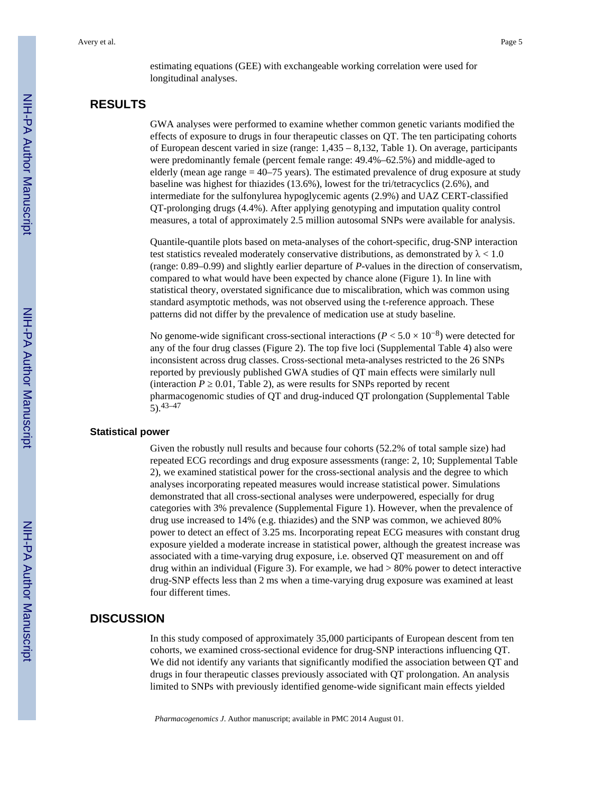estimating equations (GEE) with exchangeable working correlation were used for longitudinal analyses.

### **RESULTS**

GWA analyses were performed to examine whether common genetic variants modified the effects of exposure to drugs in four therapeutic classes on QT. The ten participating cohorts of European descent varied in size (range: 1,435 – 8,132, Table 1). On average, participants were predominantly female (percent female range: 49.4%–62.5%) and middle-aged to elderly (mean age range = 40–75 years). The estimated prevalence of drug exposure at study baseline was highest for thiazides (13.6%), lowest for the tri/tetracyclics (2.6%), and intermediate for the sulfonylurea hypoglycemic agents (2.9%) and UAZ CERT-classified QT-prolonging drugs (4.4%). After applying genotyping and imputation quality control measures, a total of approximately 2.5 million autosomal SNPs were available for analysis.

Quantile-quantile plots based on meta-analyses of the cohort-specific, drug-SNP interaction test statistics revealed moderately conservative distributions, as demonstrated by  $\lambda < 1.0$ (range: 0.89–0.99) and slightly earlier departure of *P*-values in the direction of conservatism, compared to what would have been expected by chance alone (Figure 1). In line with statistical theory, overstated significance due to miscalibration, which was common using standard asymptotic methods, was not observed using the t-reference approach. These patterns did not differ by the prevalence of medication use at study baseline.

No genome-wide significant cross-sectional interactions ( $P < 5.0 \times 10^{-8}$ ) were detected for any of the four drug classes (Figure 2). The top five loci (Supplemental Table 4) also were inconsistent across drug classes. Cross-sectional meta-analyses restricted to the 26 SNPs reported by previously published GWA studies of QT main effects were similarly null (interaction  $P$  = 0.01, Table 2), as were results for SNPs reported by recent pharmacogenomic studies of QT and drug-induced QT prolongation (Supplemental Table 5).43–47

#### **Statistical power**

Given the robustly null results and because four cohorts (52.2% of total sample size) had repeated ECG recordings and drug exposure assessments (range: 2, 10; Supplemental Table 2), we examined statistical power for the cross-sectional analysis and the degree to which analyses incorporating repeated measures would increase statistical power. Simulations demonstrated that all cross-sectional analyses were underpowered, especially for drug categories with 3% prevalence (Supplemental Figure 1). However, when the prevalence of drug use increased to 14% (e.g. thiazides) and the SNP was common, we achieved 80% power to detect an effect of 3.25 ms. Incorporating repeat ECG measures with constant drug exposure yielded a moderate increase in statistical power, although the greatest increase was associated with a time-varying drug exposure, i.e. observed QT measurement on and off drug within an individual (Figure 3). For example, we had  $> 80\%$  power to detect interactive drug-SNP effects less than 2 ms when a time-varying drug exposure was examined at least four different times.

#### **DISCUSSION**

In this study composed of approximately 35,000 participants of European descent from ten cohorts, we examined cross-sectional evidence for drug-SNP interactions influencing QT. We did not identify any variants that significantly modified the association between QT and drugs in four therapeutic classes previously associated with QT prolongation. An analysis limited to SNPs with previously identified genome-wide significant main effects yielded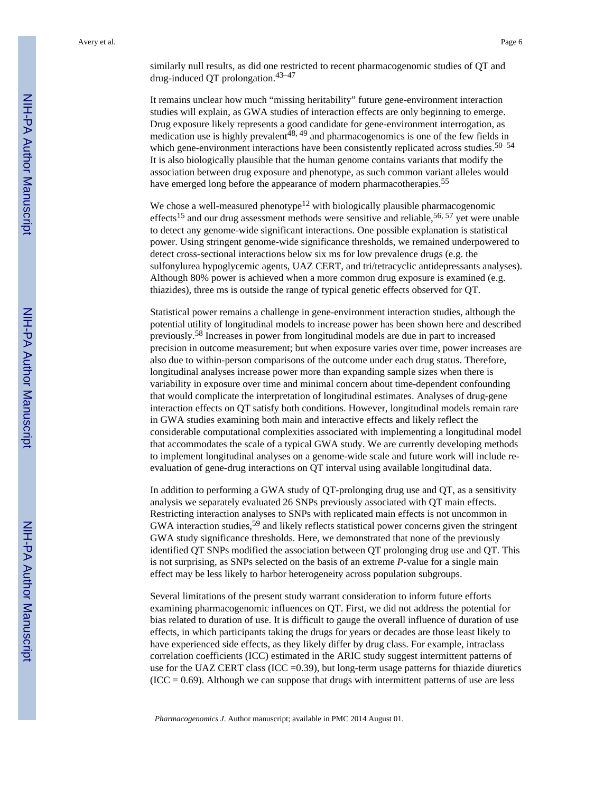similarly null results, as did one restricted to recent pharmacogenomic studies of QT and drug-induced QT prolongation.43–47

It remains unclear how much "missing heritability" future gene-environment interaction studies will explain, as GWA studies of interaction effects are only beginning to emerge. Drug exposure likely represents a good candidate for gene-environment interrogation, as medication use is highly prevalent<sup>48, 49</sup> and pharmacogenomics is one of the few fields in which gene-environment interactions have been consistently replicated across studies.<sup>50–54</sup> It is also biologically plausible that the human genome contains variants that modify the association between drug exposure and phenotype, as such common variant alleles would have emerged long before the appearance of modern pharmacotherapies.<sup>55</sup>

We chose a well-measured phenotype<sup>12</sup> with biologically plausible pharmacogenomic effects<sup>15</sup> and our drug assessment methods were sensitive and reliable,<sup>56, 57</sup> yet were unable to detect any genome-wide significant interactions. One possible explanation is statistical power. Using stringent genome-wide significance thresholds, we remained underpowered to detect cross-sectional interactions below six ms for low prevalence drugs (e.g. the sulfonylurea hypoglycemic agents, UAZ CERT, and tri/tetracyclic antidepressants analyses). Although 80% power is achieved when a more common drug exposure is examined (e.g. thiazides), three ms is outside the range of typical genetic effects observed for QT.

Statistical power remains a challenge in gene-environment interaction studies, although the potential utility of longitudinal models to increase power has been shown here and described previously.58 Increases in power from longitudinal models are due in part to increased precision in outcome measurement; but when exposure varies over time, power increases are also due to within-person comparisons of the outcome under each drug status. Therefore, longitudinal analyses increase power more than expanding sample sizes when there is variability in exposure over time and minimal concern about time-dependent confounding that would complicate the interpretation of longitudinal estimates. Analyses of drug-gene interaction effects on QT satisfy both conditions. However, longitudinal models remain rare in GWA studies examining both main and interactive effects and likely reflect the considerable computational complexities associated with implementing a longitudinal model that accommodates the scale of a typical GWA study. We are currently developing methods to implement longitudinal analyses on a genome-wide scale and future work will include reevaluation of gene-drug interactions on QT interval using available longitudinal data.

In addition to performing a GWA study of QT-prolonging drug use and QT, as a sensitivity analysis we separately evaluated 26 SNPs previously associated with QT main effects. Restricting interaction analyses to SNPs with replicated main effects is not uncommon in GWA interaction studies,<sup>59</sup> and likely reflects statistical power concerns given the stringent GWA study significance thresholds. Here, we demonstrated that none of the previously identified QT SNPs modified the association between QT prolonging drug use and QT. This is not surprising, as SNPs selected on the basis of an extreme *P*-value for a single main effect may be less likely to harbor heterogeneity across population subgroups.

Several limitations of the present study warrant consideration to inform future efforts examining pharmacogenomic influences on QT. First, we did not address the potential for bias related to duration of use. It is difficult to gauge the overall influence of duration of use effects, in which participants taking the drugs for years or decades are those least likely to have experienced side effects, as they likely differ by drug class. For example, intraclass correlation coefficients (ICC) estimated in the ARIC study suggest intermittent patterns of use for the UAZ CERT class (ICC  $=0.39$ ), but long-term usage patterns for thiazide diuretics  $(ICC = 0.69)$ . Although we can suppose that drugs with intermittent patterns of use are less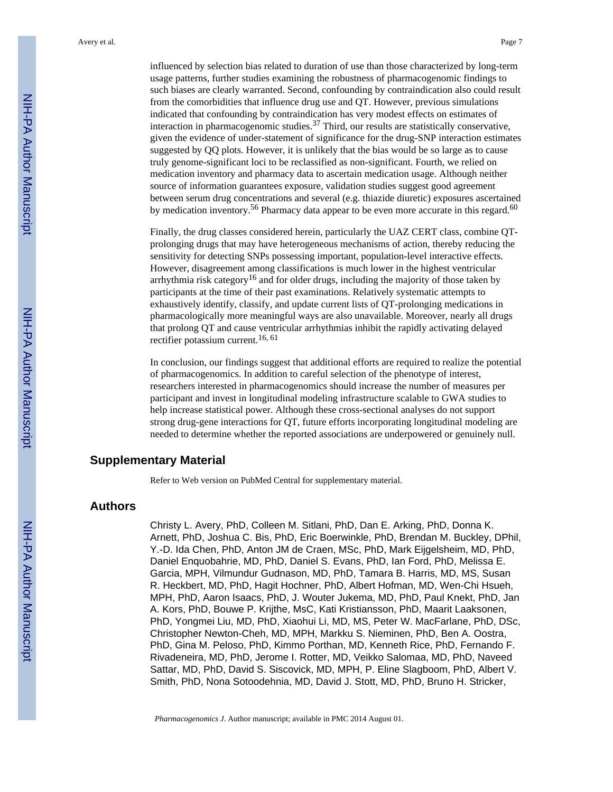given the evidence of under-statement of significance for the drug-SNP interaction estimates suggested by QQ plots. However, it is unlikely that the bias would be so large as to cause truly genome-significant loci to be reclassified as non-significant. Fourth, we relied on medication inventory and pharmacy data to ascertain medication usage. Although neither source of information guarantees exposure, validation studies suggest good agreement between serum drug concentrations and several (e.g. thiazide diuretic) exposures ascertained by medication inventory.<sup>56</sup> Pharmacy data appear to be even more accurate in this regard.<sup>60</sup>

Finally, the drug classes considered herein, particularly the UAZ CERT class, combine QTprolonging drugs that may have heterogeneous mechanisms of action, thereby reducing the sensitivity for detecting SNPs possessing important, population-level interactive effects. However, disagreement among classifications is much lower in the highest ventricular arrhythmia risk category<sup>16</sup> and for older drugs, including the majority of those taken by participants at the time of their past examinations. Relatively systematic attempts to exhaustively identify, classify, and update current lists of QT-prolonging medications in pharmacologically more meaningful ways are also unavailable. Moreover, nearly all drugs that prolong QT and cause ventricular arrhythmias inhibit the rapidly activating delayed rectifier potassium current.16, 61

In conclusion, our findings suggest that additional efforts are required to realize the potential of pharmacogenomics. In addition to careful selection of the phenotype of interest, researchers interested in pharmacogenomics should increase the number of measures per participant and invest in longitudinal modeling infrastructure scalable to GWA studies to help increase statistical power. Although these cross-sectional analyses do not support strong drug-gene interactions for QT, future efforts incorporating longitudinal modeling are needed to determine whether the reported associations are underpowered or genuinely null.

#### **Supplementary Material**

Refer to Web version on PubMed Central for supplementary material.

#### **Authors**

Christy L. Avery, PhD, Colleen M. Sitlani, PhD, Dan E. Arking, PhD, Donna K. Arnett, PhD, Joshua C. Bis, PhD, Eric Boerwinkle, PhD, Brendan M. Buckley, DPhil, Y.-D. Ida Chen, PhD, Anton JM de Craen, MSc, PhD, Mark Eijgelsheim, MD, PhD, Daniel Enquobahrie, MD, PhD, Daniel S. Evans, PhD, Ian Ford, PhD, Melissa E. Garcia, MPH, Vilmundur Gudnason, MD, PhD, Tamara B. Harris, MD, MS, Susan R. Heckbert, MD, PhD, Hagit Hochner, PhD, Albert Hofman, MD, Wen-Chi Hsueh, MPH, PhD, Aaron Isaacs, PhD, J. Wouter Jukema, MD, PhD, Paul Knekt, PhD, Jan A. Kors, PhD, Bouwe P. Krijthe, MsC, Kati Kristiansson, PhD, Maarit Laaksonen, PhD, Yongmei Liu, MD, PhD, Xiaohui Li, MD, MS, Peter W. MacFarlane, PhD, DSc, Christopher Newton-Cheh, MD, MPH, Markku S. Nieminen, PhD, Ben A. Oostra, PhD, Gina M. Peloso, PhD, Kimmo Porthan, MD, Kenneth Rice, PhD, Fernando F. Rivadeneira, MD, PhD, Jerome I. Rotter, MD, Veikko Salomaa, MD, PhD, Naveed Sattar, MD, PhD, David S. Siscovick, MD, MPH, P. Eline Slagboom, PhD, Albert V. Smith, PhD, Nona Sotoodehnia, MD, David J. Stott, MD, PhD, Bruno H. Stricker,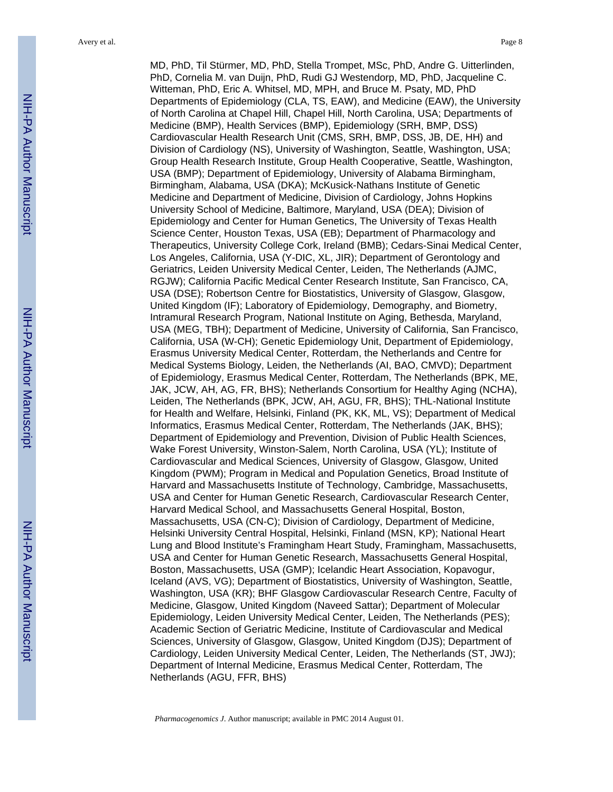Avery et al. Page 8

MD, PhD, Til Stürmer, MD, PhD, Stella Trompet, MSc, PhD, Andre G. Uitterlinden, PhD, Cornelia M. van Duijn, PhD, Rudi GJ Westendorp, MD, PhD, Jacqueline C. Witteman, PhD, Eric A. Whitsel, MD, MPH, and Bruce M. Psaty, MD, PhD Departments of Epidemiology (CLA, TS, EAW), and Medicine (EAW), the University of North Carolina at Chapel Hill, Chapel Hill, North Carolina, USA; Departments of Medicine (BMP), Health Services (BMP), Epidemiology (SRH, BMP, DSS) Cardiovascular Health Research Unit (CMS, SRH, BMP, DSS, JB, DE, HH) and Division of Cardiology (NS), University of Washington, Seattle, Washington, USA; Group Health Research Institute, Group Health Cooperative, Seattle, Washington, USA (BMP); Department of Epidemiology, University of Alabama Birmingham, Birmingham, Alabama, USA (DKA); McKusick-Nathans Institute of Genetic Medicine and Department of Medicine, Division of Cardiology, Johns Hopkins University School of Medicine, Baltimore, Maryland, USA (DEA); Division of Epidemiology and Center for Human Genetics, The University of Texas Health Science Center, Houston Texas, USA (EB); Department of Pharmacology and Therapeutics, University College Cork, Ireland (BMB); Cedars-Sinai Medical Center, Los Angeles, California, USA (Y-DIC, XL, JIR); Department of Gerontology and Geriatrics, Leiden University Medical Center, Leiden, The Netherlands (AJMC, RGJW); California Pacific Medical Center Research Institute, San Francisco, CA, USA (DSE); Robertson Centre for Biostatistics, University of Glasgow, Glasgow, United Kingdom (IF); Laboratory of Epidemiology, Demography, and Biometry, Intramural Research Program, National Institute on Aging, Bethesda, Maryland, USA (MEG, TBH); Department of Medicine, University of California, San Francisco, California, USA (W-CH); Genetic Epidemiology Unit, Department of Epidemiology, Erasmus University Medical Center, Rotterdam, the Netherlands and Centre for Medical Systems Biology, Leiden, the Netherlands (AI, BAO, CMVD); Department of Epidemiology, Erasmus Medical Center, Rotterdam, The Netherlands (BPK, ME, JAK, JCW, AH, AG, FR, BHS); Netherlands Consortium for Healthy Aging (NCHA), Leiden, The Netherlands (BPK, JCW, AH, AGU, FR, BHS); THL-National Institute for Health and Welfare, Helsinki, Finland (PK, KK, ML, VS); Department of Medical Informatics, Erasmus Medical Center, Rotterdam, The Netherlands (JAK, BHS); Department of Epidemiology and Prevention, Division of Public Health Sciences, Wake Forest University, Winston-Salem, North Carolina, USA (YL); Institute of Cardiovascular and Medical Sciences, University of Glasgow, Glasgow, United Kingdom (PWM); Program in Medical and Population Genetics, Broad Institute of Harvard and Massachusetts Institute of Technology, Cambridge, Massachusetts, USA and Center for Human Genetic Research, Cardiovascular Research Center, Harvard Medical School, and Massachusetts General Hospital, Boston, Massachusetts, USA (CN-C); Division of Cardiology, Department of Medicine, Helsinki University Central Hospital, Helsinki, Finland (MSN, KP); National Heart Lung and Blood Institute's Framingham Heart Study, Framingham, Massachusetts, USA and Center for Human Genetic Research, Massachusetts General Hospital, Boston, Massachusetts, USA (GMP); Icelandic Heart Association, Kopavogur, Iceland (AVS, VG); Department of Biostatistics, University of Washington, Seattle, Washington, USA (KR); BHF Glasgow Cardiovascular Research Centre, Faculty of Medicine, Glasgow, United Kingdom (Naveed Sattar); Department of Molecular Epidemiology, Leiden University Medical Center, Leiden, The Netherlands (PES); Academic Section of Geriatric Medicine, Institute of Cardiovascular and Medical Sciences, University of Glasgow, Glasgow, United Kingdom (DJS); Department of Cardiology, Leiden University Medical Center, Leiden, The Netherlands (ST, JWJ); Department of Internal Medicine, Erasmus Medical Center, Rotterdam, The Netherlands (AGU, FFR, BHS)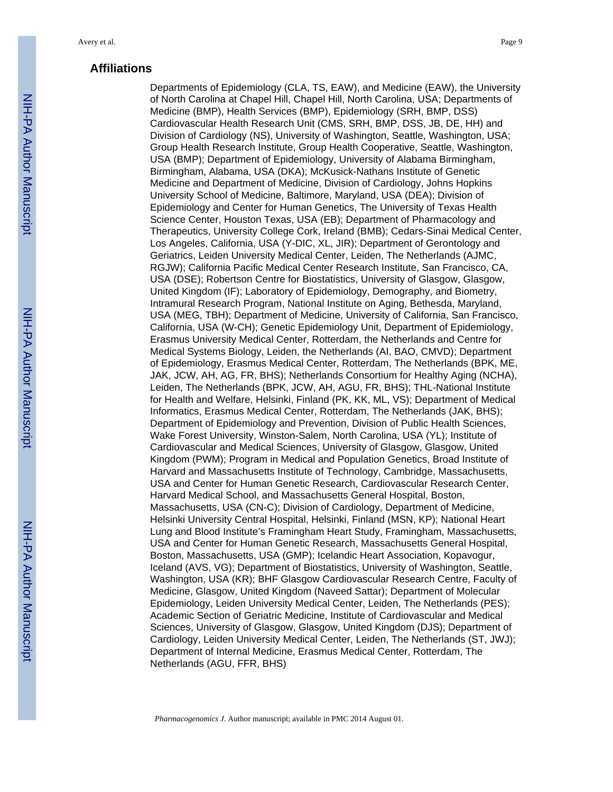#### **Affiliations**

Departments of Epidemiology (CLA, TS, EAW), and Medicine (EAW), the University of North Carolina at Chapel Hill, Chapel Hill, North Carolina, USA; Departments of Medicine (BMP), Health Services (BMP), Epidemiology (SRH, BMP, DSS) Cardiovascular Health Research Unit (CMS, SRH, BMP, DSS, JB, DE, HH) and Division of Cardiology (NS), University of Washington, Seattle, Washington, USA; Group Health Research Institute, Group Health Cooperative, Seattle, Washington, USA (BMP); Department of Epidemiology, University of Alabama Birmingham, Birmingham, Alabama, USA (DKA); McKusick-Nathans Institute of Genetic Medicine and Department of Medicine, Division of Cardiology, Johns Hopkins University School of Medicine, Baltimore, Maryland, USA (DEA); Division of Epidemiology and Center for Human Genetics, The University of Texas Health Science Center, Houston Texas, USA (EB); Department of Pharmacology and Therapeutics, University College Cork, Ireland (BMB); Cedars-Sinai Medical Center, Los Angeles, California, USA (Y-DIC, XL, JIR); Department of Gerontology and Geriatrics, Leiden University Medical Center, Leiden, The Netherlands (AJMC, RGJW); California Pacific Medical Center Research Institute, San Francisco, CA, USA (DSE); Robertson Centre for Biostatistics, University of Glasgow, Glasgow, United Kingdom (IF); Laboratory of Epidemiology, Demography, and Biometry, Intramural Research Program, National Institute on Aging, Bethesda, Maryland, USA (MEG, TBH); Department of Medicine, University of California, San Francisco, California, USA (W-CH); Genetic Epidemiology Unit, Department of Epidemiology, Erasmus University Medical Center, Rotterdam, the Netherlands and Centre for Medical Systems Biology, Leiden, the Netherlands (AI, BAO, CMVD); Department of Epidemiology, Erasmus Medical Center, Rotterdam, The Netherlands (BPK, ME, JAK, JCW, AH, AG, FR, BHS); Netherlands Consortium for Healthy Aging (NCHA), Leiden, The Netherlands (BPK, JCW, AH, AGU, FR, BHS); THL-National Institute for Health and Welfare, Helsinki, Finland (PK, KK, ML, VS); Department of Medical Informatics, Erasmus Medical Center, Rotterdam, The Netherlands (JAK, BHS); Department of Epidemiology and Prevention, Division of Public Health Sciences, Wake Forest University, Winston-Salem, North Carolina, USA (YL); Institute of Cardiovascular and Medical Sciences, University of Glasgow, Glasgow, United Kingdom (PWM); Program in Medical and Population Genetics, Broad Institute of Harvard and Massachusetts Institute of Technology, Cambridge, Massachusetts, USA and Center for Human Genetic Research, Cardiovascular Research Center, Harvard Medical School, and Massachusetts General Hospital, Boston, Massachusetts, USA (CN-C); Division of Cardiology, Department of Medicine, Helsinki University Central Hospital, Helsinki, Finland (MSN, KP); National Heart Lung and Blood Institute's Framingham Heart Study, Framingham, Massachusetts, USA and Center for Human Genetic Research, Massachusetts General Hospital, Boston, Massachusetts, USA (GMP); Icelandic Heart Association, Kopavogur, Iceland (AVS, VG); Department of Biostatistics, University of Washington, Seattle, Washington, USA (KR); BHF Glasgow Cardiovascular Research Centre, Faculty of Medicine, Glasgow, United Kingdom (Naveed Sattar); Department of Molecular Epidemiology, Leiden University Medical Center, Leiden, The Netherlands (PES); Academic Section of Geriatric Medicine, Institute of Cardiovascular and Medical Sciences, University of Glasgow, Glasgow, United Kingdom (DJS); Department of Cardiology, Leiden University Medical Center, Leiden, The Netherlands (ST, JWJ); Department of Internal Medicine, Erasmus Medical Center, Rotterdam, The Netherlands (AGU, FFR, BHS)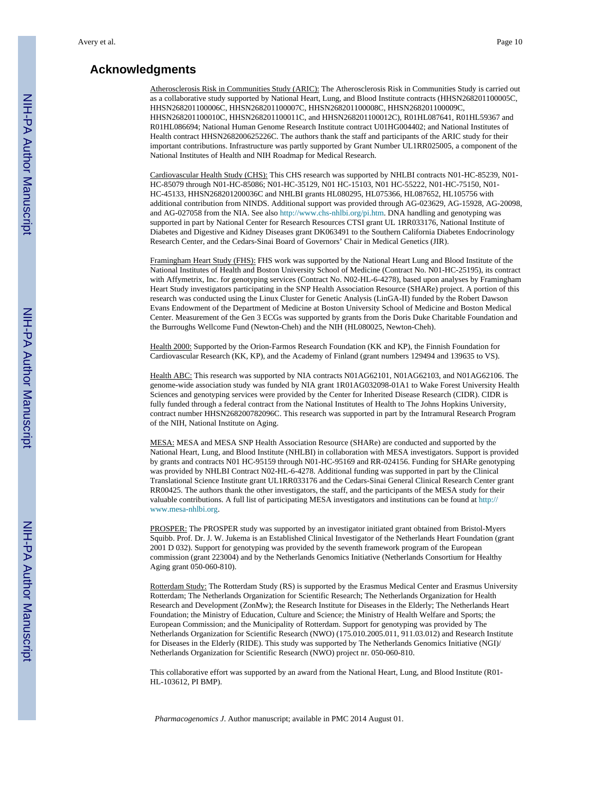#### **Acknowledgments**

Atherosclerosis Risk in Communities Study (ARIC): The Atherosclerosis Risk in Communities Study is carried out as a collaborative study supported by National Heart, Lung, and Blood Institute contracts (HHSN268201100005C, HHSN268201100006C, HHSN268201100007C, HHSN268201100008C, HHSN268201100009C, HHSN268201100010C, HHSN268201100011C, and HHSN268201100012C), R01HL087641, R01HL59367 and R01HL086694; National Human Genome Research Institute contract U01HG004402; and National Institutes of Health contract HHSN268200625226C. The authors thank the staff and participants of the ARIC study for their important contributions. Infrastructure was partly supported by Grant Number UL1RR025005, a component of the National Institutes of Health and NIH Roadmap for Medical Research.

Cardiovascular Health Study (CHS): This CHS research was supported by NHLBI contracts N01-HC-85239, N01- HC-85079 through N01-HC-85086; N01-HC-35129, N01 HC-15103, N01 HC-55222, N01-HC-75150, N01- HC-45133, HHSN268201200036C and NHLBI grants HL080295, HL075366, HL087652, HL105756 with additional contribution from NINDS. Additional support was provided through AG-023629, AG-15928, AG-20098, and AG-027058 from the NIA. See also [http://www.chs-nhlbi.org/pi.htm.](http://www.chs-nhlbi.org/pi.htm) DNA handling and genotyping was supported in part by National Center for Research Resources CTSI grant UL 1RR033176, National Institute of Diabetes and Digestive and Kidney Diseases grant DK063491 to the Southern California Diabetes Endocrinology Research Center, and the Cedars-Sinai Board of Governors' Chair in Medical Genetics (JIR).

Framingham Heart Study (FHS): FHS work was supported by the National Heart Lung and Blood Institute of the National Institutes of Health and Boston University School of Medicine (Contract No. N01-HC-25195), its contract with Affymetrix, Inc. for genotyping services (Contract No. N02-HL-6-4278), based upon analyses by Framingham Heart Study investigators participating in the SNP Health Association Resource (SHARe) project. A portion of this research was conducted using the Linux Cluster for Genetic Analysis (LinGA-II) funded by the Robert Dawson Evans Endowment of the Department of Medicine at Boston University School of Medicine and Boston Medical Center. Measurement of the Gen 3 ECGs was supported by grants from the Doris Duke Charitable Foundation and the Burroughs Wellcome Fund (Newton-Cheh) and the NIH (HL080025, Newton-Cheh).

Health 2000: Supported by the Orion-Farmos Research Foundation (KK and KP), the Finnish Foundation for Cardiovascular Research (KK, KP), and the Academy of Finland (grant numbers 129494 and 139635 to VS).

Health ABC: This research was supported by NIA contracts N01AG62101, N01AG62103, and N01AG62106. The genome-wide association study was funded by NIA grant 1R01AG032098-01A1 to Wake Forest University Health Sciences and genotyping services were provided by the Center for Inherited Disease Research (CIDR). CIDR is fully funded through a federal contract from the National Institutes of Health to The Johns Hopkins University, contract number HHSN268200782096C. This research was supported in part by the Intramural Research Program of the NIH, National Institute on Aging.

MESA: MESA and MESA SNP Health Association Resource (SHARe) are conducted and supported by the National Heart, Lung, and Blood Institute (NHLBI) in collaboration with MESA investigators. Support is provided by grants and contracts N01 HC-95159 through N01-HC-95169 and RR-024156. Funding for SHARe genotyping was provided by NHLBI Contract N02-HL-6-4278. Additional funding was supported in part by the Clinical Translational Science Institute grant UL1RR033176 and the Cedars-Sinai General Clinical Research Center grant RR00425. The authors thank the other investigators, the staff, and the participants of the MESA study for their valuable contributions. A full list of participating MESA investigators and institutions can be found at [http://](http://www.mesa-nhlbi.org) [www.mesa-nhlbi.org.](http://www.mesa-nhlbi.org)

PROSPER: The PROSPER study was supported by an investigator initiated grant obtained from Bristol-Myers Squibb. Prof. Dr. J. W. Jukema is an Established Clinical Investigator of the Netherlands Heart Foundation (grant 2001 D 032). Support for genotyping was provided by the seventh framework program of the European commission (grant 223004) and by the Netherlands Genomics Initiative (Netherlands Consortium for Healthy Aging grant 050-060-810).

Rotterdam Study: The Rotterdam Study (RS) is supported by the Erasmus Medical Center and Erasmus University Rotterdam; The Netherlands Organization for Scientific Research; The Netherlands Organization for Health Research and Development (ZonMw); the Research Institute for Diseases in the Elderly; The Netherlands Heart Foundation; the Ministry of Education, Culture and Science; the Ministry of Health Welfare and Sports; the European Commission; and the Municipality of Rotterdam. Support for genotyping was provided by The Netherlands Organization for Scientific Research (NWO) (175.010.2005.011, 911.03.012) and Research Institute for Diseases in the Elderly (RIDE). This study was supported by The Netherlands Genomics Initiative (NGI)/ Netherlands Organization for Scientific Research (NWO) project nr. 050-060-810.

This collaborative effort was supported by an award from the National Heart, Lung, and Blood Institute (R01- HL-103612, PI BMP).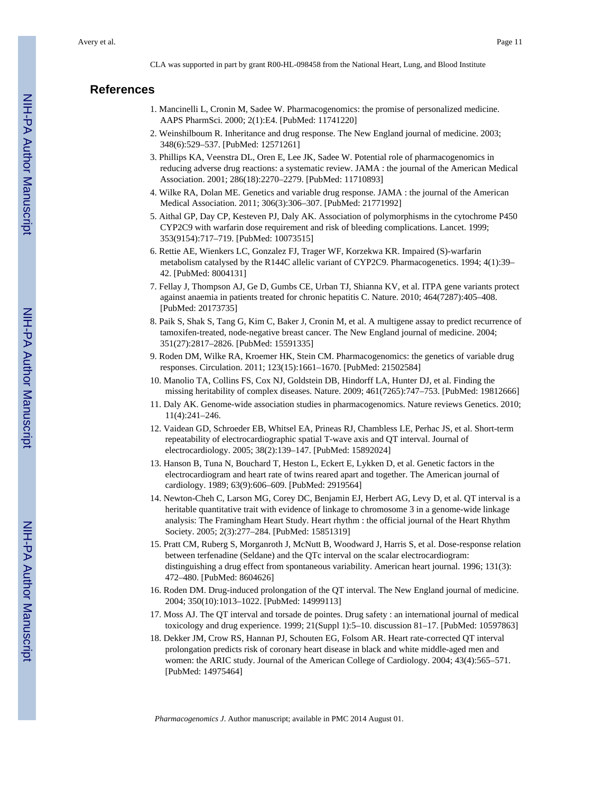CLA was supported in part by grant R00-HL-098458 from the National Heart, Lung, and Blood Institute

#### **References**

- 1. Mancinelli L, Cronin M, Sadee W. Pharmacogenomics: the promise of personalized medicine. AAPS PharmSci. 2000; 2(1):E4. [PubMed: 11741220]
- 2. Weinshilboum R. Inheritance and drug response. The New England journal of medicine. 2003; 348(6):529–537. [PubMed: 12571261]
- 3. Phillips KA, Veenstra DL, Oren E, Lee JK, Sadee W. Potential role of pharmacogenomics in reducing adverse drug reactions: a systematic review. JAMA : the journal of the American Medical Association. 2001; 286(18):2270–2279. [PubMed: 11710893]
- 4. Wilke RA, Dolan ME. Genetics and variable drug response. JAMA : the journal of the American Medical Association. 2011; 306(3):306–307. [PubMed: 21771992]
- 5. Aithal GP, Day CP, Kesteven PJ, Daly AK. Association of polymorphisms in the cytochrome P450 CYP2C9 with warfarin dose requirement and risk of bleeding complications. Lancet. 1999; 353(9154):717–719. [PubMed: 10073515]
- 6. Rettie AE, Wienkers LC, Gonzalez FJ, Trager WF, Korzekwa KR. Impaired (S)-warfarin metabolism catalysed by the R144C allelic variant of CYP2C9. Pharmacogenetics. 1994; 4(1):39– 42. [PubMed: 8004131]
- 7. Fellay J, Thompson AJ, Ge D, Gumbs CE, Urban TJ, Shianna KV, et al. ITPA gene variants protect against anaemia in patients treated for chronic hepatitis C. Nature. 2010; 464(7287):405–408. [PubMed: 20173735]
- 8. Paik S, Shak S, Tang G, Kim C, Baker J, Cronin M, et al. A multigene assay to predict recurrence of tamoxifen-treated, node-negative breast cancer. The New England journal of medicine. 2004; 351(27):2817–2826. [PubMed: 15591335]
- 9. Roden DM, Wilke RA, Kroemer HK, Stein CM. Pharmacogenomics: the genetics of variable drug responses. Circulation. 2011; 123(15):1661–1670. [PubMed: 21502584]
- 10. Manolio TA, Collins FS, Cox NJ, Goldstein DB, Hindorff LA, Hunter DJ, et al. Finding the missing heritability of complex diseases. Nature. 2009; 461(7265):747–753. [PubMed: 19812666]
- 11. Daly AK. Genome-wide association studies in pharmacogenomics. Nature reviews Genetics. 2010; 11(4):241–246.
- 12. Vaidean GD, Schroeder EB, Whitsel EA, Prineas RJ, Chambless LE, Perhac JS, et al. Short-term repeatability of electrocardiographic spatial T-wave axis and QT interval. Journal of electrocardiology. 2005; 38(2):139–147. [PubMed: 15892024]
- 13. Hanson B, Tuna N, Bouchard T, Heston L, Eckert E, Lykken D, et al. Genetic factors in the electrocardiogram and heart rate of twins reared apart and together. The American journal of cardiology. 1989; 63(9):606–609. [PubMed: 2919564]
- 14. Newton-Cheh C, Larson MG, Corey DC, Benjamin EJ, Herbert AG, Levy D, et al. QT interval is a heritable quantitative trait with evidence of linkage to chromosome 3 in a genome-wide linkage analysis: The Framingham Heart Study. Heart rhythm : the official journal of the Heart Rhythm Society. 2005; 2(3):277–284. [PubMed: 15851319]
- 15. Pratt CM, Ruberg S, Morganroth J, McNutt B, Woodward J, Harris S, et al. Dose-response relation between terfenadine (Seldane) and the QTc interval on the scalar electrocardiogram: distinguishing a drug effect from spontaneous variability. American heart journal. 1996; 131(3): 472–480. [PubMed: 8604626]
- 16. Roden DM. Drug-induced prolongation of the QT interval. The New England journal of medicine. 2004; 350(10):1013–1022. [PubMed: 14999113]
- 17. Moss AJ. The QT interval and torsade de pointes. Drug safety : an international journal of medical toxicology and drug experience. 1999; 21(Suppl 1):5–10. discussion 81–17. [PubMed: 10597863]
- 18. Dekker JM, Crow RS, Hannan PJ, Schouten EG, Folsom AR. Heart rate-corrected QT interval prolongation predicts risk of coronary heart disease in black and white middle-aged men and women: the ARIC study. Journal of the American College of Cardiology. 2004; 43(4):565–571. [PubMed: 14975464]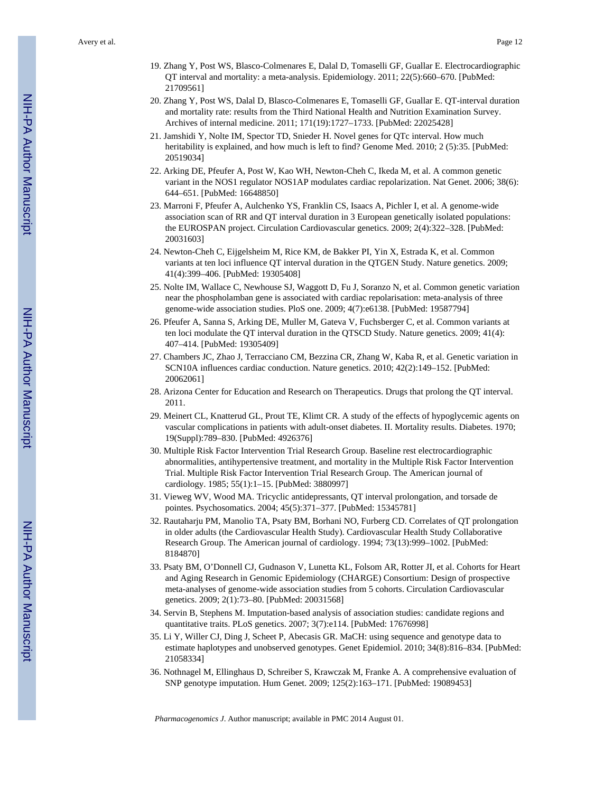- 19. Zhang Y, Post WS, Blasco-Colmenares E, Dalal D, Tomaselli GF, Guallar E. Electrocardiographic QT interval and mortality: a meta-analysis. Epidemiology. 2011; 22(5):660–670. [PubMed: 21709561]
- 20. Zhang Y, Post WS, Dalal D, Blasco-Colmenares E, Tomaselli GF, Guallar E. QT-interval duration and mortality rate: results from the Third National Health and Nutrition Examination Survey. Archives of internal medicine. 2011; 171(19):1727–1733. [PubMed: 22025428]
- 21. Jamshidi Y, Nolte IM, Spector TD, Snieder H. Novel genes for QTc interval. How much heritability is explained, and how much is left to find? Genome Med. 2010; 2 (5):35. [PubMed: 20519034]
- 22. Arking DE, Pfeufer A, Post W, Kao WH, Newton-Cheh C, Ikeda M, et al. A common genetic variant in the NOS1 regulator NOS1AP modulates cardiac repolarization. Nat Genet. 2006; 38(6): 644–651. [PubMed: 16648850]
- 23. Marroni F, Pfeufer A, Aulchenko YS, Franklin CS, Isaacs A, Pichler I, et al. A genome-wide association scan of RR and QT interval duration in 3 European genetically isolated populations: the EUROSPAN project. Circulation Cardiovascular genetics. 2009; 2(4):322–328. [PubMed: 20031603]
- 24. Newton-Cheh C, Eijgelsheim M, Rice KM, de Bakker PI, Yin X, Estrada K, et al. Common variants at ten loci influence QT interval duration in the QTGEN Study. Nature genetics. 2009; 41(4):399–406. [PubMed: 19305408]
- 25. Nolte IM, Wallace C, Newhouse SJ, Waggott D, Fu J, Soranzo N, et al. Common genetic variation near the phospholamban gene is associated with cardiac repolarisation: meta-analysis of three genome-wide association studies. PloS one. 2009; 4(7):e6138. [PubMed: 19587794]
- 26. Pfeufer A, Sanna S, Arking DE, Muller M, Gateva V, Fuchsberger C, et al. Common variants at ten loci modulate the QT interval duration in the QTSCD Study. Nature genetics. 2009; 41(4): 407–414. [PubMed: 19305409]
- 27. Chambers JC, Zhao J, Terracciano CM, Bezzina CR, Zhang W, Kaba R, et al. Genetic variation in SCN10A influences cardiac conduction. Nature genetics. 2010; 42(2):149–152. [PubMed: 20062061]
- 28. Arizona Center for Education and Research on Therapeutics. Drugs that prolong the QT interval. 2011.
- 29. Meinert CL, Knatterud GL, Prout TE, Klimt CR. A study of the effects of hypoglycemic agents on vascular complications in patients with adult-onset diabetes. II. Mortality results. Diabetes. 1970; 19(Suppl):789–830. [PubMed: 4926376]
- 30. Multiple Risk Factor Intervention Trial Research Group. Baseline rest electrocardiographic abnormalities, antihypertensive treatment, and mortality in the Multiple Risk Factor Intervention Trial. Multiple Risk Factor Intervention Trial Research Group. The American journal of cardiology. 1985; 55(1):1–15. [PubMed: 3880997]
- 31. Vieweg WV, Wood MA. Tricyclic antidepressants, QT interval prolongation, and torsade de pointes. Psychosomatics. 2004; 45(5):371–377. [PubMed: 15345781]
- 32. Rautaharju PM, Manolio TA, Psaty BM, Borhani NO, Furberg CD. Correlates of QT prolongation in older adults (the Cardiovascular Health Study). Cardiovascular Health Study Collaborative Research Group. The American journal of cardiology. 1994; 73(13):999–1002. [PubMed: 8184870]
- 33. Psaty BM, O'Donnell CJ, Gudnason V, Lunetta KL, Folsom AR, Rotter JI, et al. Cohorts for Heart and Aging Research in Genomic Epidemiology (CHARGE) Consortium: Design of prospective meta-analyses of genome-wide association studies from 5 cohorts. Circulation Cardiovascular genetics. 2009; 2(1):73–80. [PubMed: 20031568]
- 34. Servin B, Stephens M. Imputation-based analysis of association studies: candidate regions and quantitative traits. PLoS genetics. 2007; 3(7):e114. [PubMed: 17676998]
- 35. Li Y, Willer CJ, Ding J, Scheet P, Abecasis GR. MaCH: using sequence and genotype data to estimate haplotypes and unobserved genotypes. Genet Epidemiol. 2010; 34(8):816–834. [PubMed: 21058334]
- 36. Nothnagel M, Ellinghaus D, Schreiber S, Krawczak M, Franke A. A comprehensive evaluation of SNP genotype imputation. Hum Genet. 2009; 125(2):163–171. [PubMed: 19089453]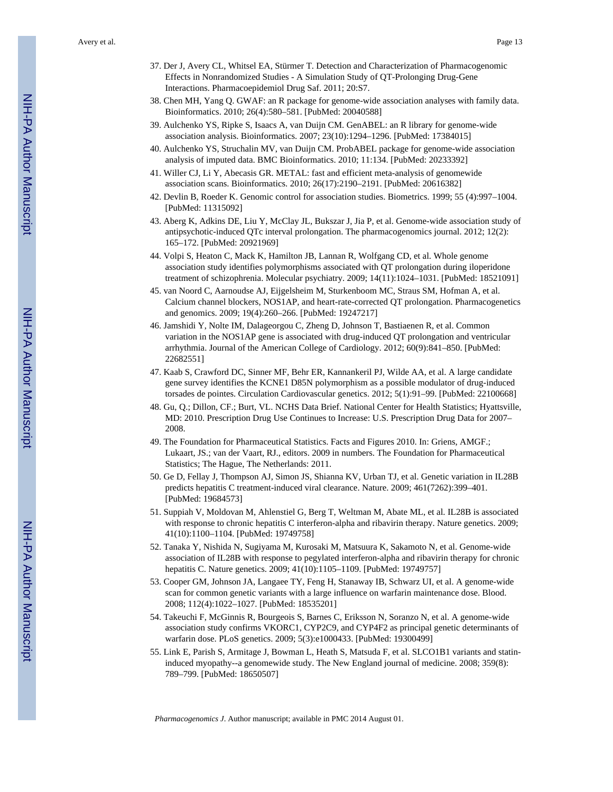Avery et al. Page 13

- 37. Der J, Avery CL, Whitsel EA, Stürmer T. Detection and Characterization of Pharmacogenomic Effects in Nonrandomized Studies - A Simulation Study of QT-Prolonging Drug-Gene Interactions. Pharmacoepidemiol Drug Saf. 2011; 20:S7.
- 38. Chen MH, Yang Q. GWAF: an R package for genome-wide association analyses with family data. Bioinformatics. 2010; 26(4):580–581. [PubMed: 20040588]
- 39. Aulchenko YS, Ripke S, Isaacs A, van Duijn CM. GenABEL: an R library for genome-wide association analysis. Bioinformatics. 2007; 23(10):1294–1296. [PubMed: 17384015]
- 40. Aulchenko YS, Struchalin MV, van Duijn CM. ProbABEL package for genome-wide association analysis of imputed data. BMC Bioinformatics. 2010; 11:134. [PubMed: 20233392]
- 41. Willer CJ, Li Y, Abecasis GR. METAL: fast and efficient meta-analysis of genomewide association scans. Bioinformatics. 2010; 26(17):2190–2191. [PubMed: 20616382]
- 42. Devlin B, Roeder K. Genomic control for association studies. Biometrics. 1999; 55 (4):997–1004. [PubMed: 11315092]
- 43. Aberg K, Adkins DE, Liu Y, McClay JL, Bukszar J, Jia P, et al. Genome-wide association study of antipsychotic-induced QTc interval prolongation. The pharmacogenomics journal. 2012; 12(2): 165–172. [PubMed: 20921969]
- 44. Volpi S, Heaton C, Mack K, Hamilton JB, Lannan R, Wolfgang CD, et al. Whole genome association study identifies polymorphisms associated with QT prolongation during iloperidone treatment of schizophrenia. Molecular psychiatry. 2009; 14(11):1024–1031. [PubMed: 18521091]
- 45. van Noord C, Aarnoudse AJ, Eijgelsheim M, Sturkenboom MC, Straus SM, Hofman A, et al. Calcium channel blockers, NOS1AP, and heart-rate-corrected QT prolongation. Pharmacogenetics and genomics. 2009; 19(4):260–266. [PubMed: 19247217]
- 46. Jamshidi Y, Nolte IM, Dalageorgou C, Zheng D, Johnson T, Bastiaenen R, et al. Common variation in the NOS1AP gene is associated with drug-induced QT prolongation and ventricular arrhythmia. Journal of the American College of Cardiology. 2012; 60(9):841–850. [PubMed: 22682551]
- 47. Kaab S, Crawford DC, Sinner MF, Behr ER, Kannankeril PJ, Wilde AA, et al. A large candidate gene survey identifies the KCNE1 D85N polymorphism as a possible modulator of drug-induced torsades de pointes. Circulation Cardiovascular genetics. 2012; 5(1):91–99. [PubMed: 22100668]
- 48. Gu, Q.; Dillon, CF.; Burt, VL. NCHS Data Brief. National Center for Health Statistics; Hyattsville, MD: 2010. Prescription Drug Use Continues to Increase: U.S. Prescription Drug Data for 2007– 2008.
- 49. The Foundation for Pharmaceutical Statistics. Facts and Figures 2010. In: Griens, AMGF.; Lukaart, JS.; van der Vaart, RJ., editors. 2009 in numbers. The Foundation for Pharmaceutical Statistics; The Hague, The Netherlands: 2011.
- 50. Ge D, Fellay J, Thompson AJ, Simon JS, Shianna KV, Urban TJ, et al. Genetic variation in IL28B predicts hepatitis C treatment-induced viral clearance. Nature. 2009; 461(7262):399–401. [PubMed: 19684573]
- 51. Suppiah V, Moldovan M, Ahlenstiel G, Berg T, Weltman M, Abate ML, et al. IL28B is associated with response to chronic hepatitis C interferon-alpha and ribavirin therapy. Nature genetics. 2009; 41(10):1100–1104. [PubMed: 19749758]
- 52. Tanaka Y, Nishida N, Sugiyama M, Kurosaki M, Matsuura K, Sakamoto N, et al. Genome-wide association of IL28B with response to pegylated interferon-alpha and ribavirin therapy for chronic hepatitis C. Nature genetics. 2009; 41(10):1105–1109. [PubMed: 19749757]
- 53. Cooper GM, Johnson JA, Langaee TY, Feng H, Stanaway IB, Schwarz UI, et al. A genome-wide scan for common genetic variants with a large influence on warfarin maintenance dose. Blood. 2008; 112(4):1022–1027. [PubMed: 18535201]
- 54. Takeuchi F, McGinnis R, Bourgeois S, Barnes C, Eriksson N, Soranzo N, et al. A genome-wide association study confirms VKORC1, CYP2C9, and CYP4F2 as principal genetic determinants of warfarin dose. PLoS genetics. 2009; 5(3):e1000433. [PubMed: 19300499]
- 55. Link E, Parish S, Armitage J, Bowman L, Heath S, Matsuda F, et al. SLCO1B1 variants and statininduced myopathy--a genomewide study. The New England journal of medicine. 2008; 359(8): 789–799. [PubMed: 18650507]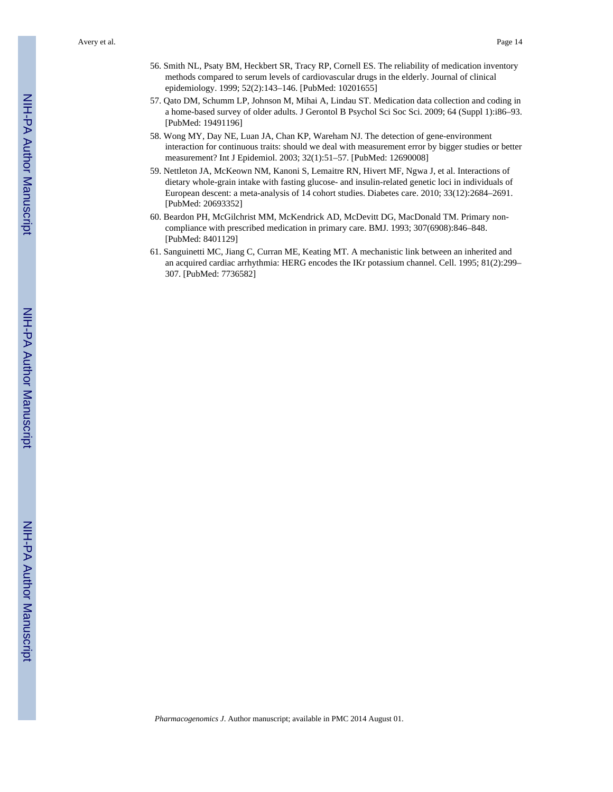- 56. Smith NL, Psaty BM, Heckbert SR, Tracy RP, Cornell ES. The reliability of medication inventory methods compared to serum levels of cardiovascular drugs in the elderly. Journal of clinical epidemiology. 1999; 52(2):143–146. [PubMed: 10201655]
- 57. Qato DM, Schumm LP, Johnson M, Mihai A, Lindau ST. Medication data collection and coding in a home-based survey of older adults. J Gerontol B Psychol Sci Soc Sci. 2009; 64 (Suppl 1):i86–93. [PubMed: 19491196]
- 58. Wong MY, Day NE, Luan JA, Chan KP, Wareham NJ. The detection of gene-environment interaction for continuous traits: should we deal with measurement error by bigger studies or better measurement? Int J Epidemiol. 2003; 32(1):51–57. [PubMed: 12690008]
- 59. Nettleton JA, McKeown NM, Kanoni S, Lemaitre RN, Hivert MF, Ngwa J, et al. Interactions of dietary whole-grain intake with fasting glucose- and insulin-related genetic loci in individuals of European descent: a meta-analysis of 14 cohort studies. Diabetes care. 2010; 33(12):2684–2691. [PubMed: 20693352]
- 60. Beardon PH, McGilchrist MM, McKendrick AD, McDevitt DG, MacDonald TM. Primary noncompliance with prescribed medication in primary care. BMJ. 1993; 307(6908):846–848. [PubMed: 8401129]
- 61. Sanguinetti MC, Jiang C, Curran ME, Keating MT. A mechanistic link between an inherited and an acquired cardiac arrhythmia: HERG encodes the IKr potassium channel. Cell. 1995; 81(2):299– 307. [PubMed: 7736582]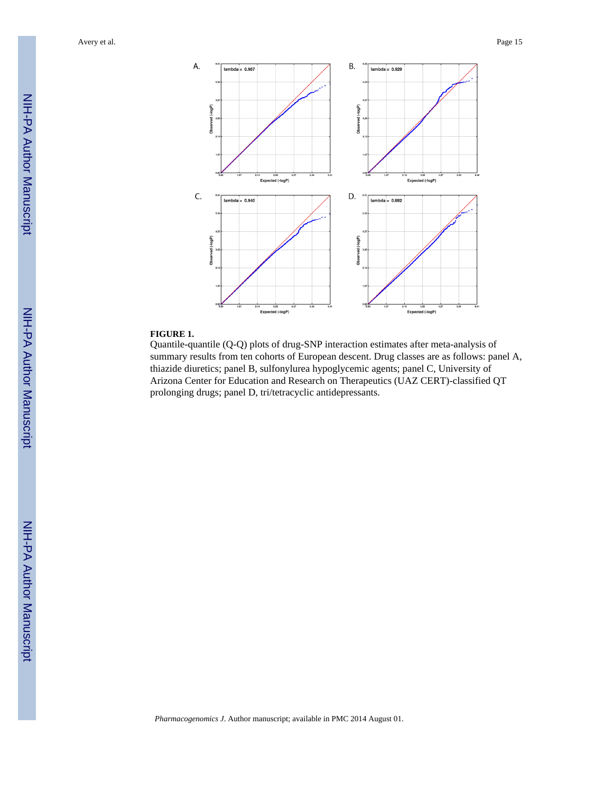Avery et al. Page 15



#### **FIGURE 1.**

Quantile-quantile (Q-Q) plots of drug-SNP interaction estimates after meta-analysis of summary results from ten cohorts of European descent. Drug classes are as follows: panel A, thiazide diuretics; panel B, sulfonylurea hypoglycemic agents; panel C, University of Arizona Center for Education and Research on Therapeutics (UAZ CERT)-classified QT prolonging drugs; panel D, tri/tetracyclic antidepressants.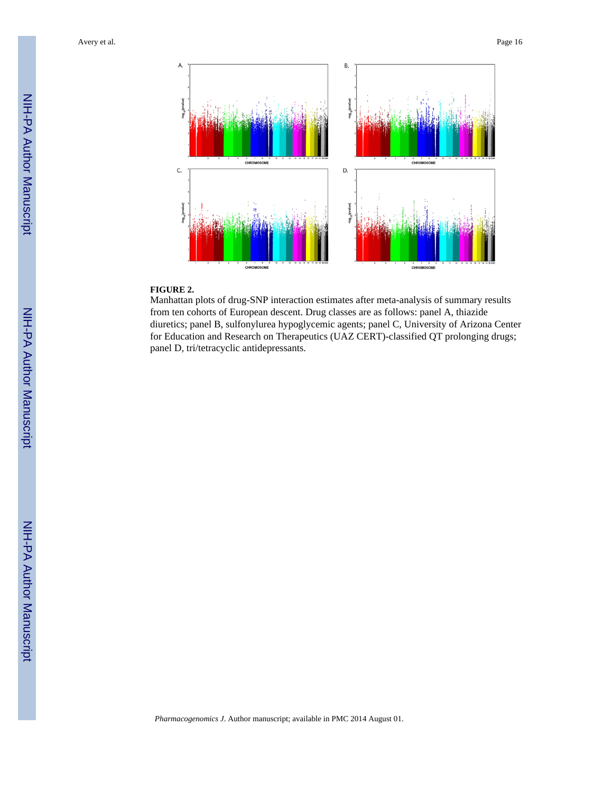

#### **FIGURE 2.**

Manhattan plots of drug-SNP interaction estimates after meta-analysis of summary results from ten cohorts of European descent. Drug classes are as follows: panel A, thiazide diuretics; panel B, sulfonylurea hypoglycemic agents; panel C, University of Arizona Center for Education and Research on Therapeutics (UAZ CERT)-classified QT prolonging drugs; panel D, tri/tetracyclic antidepressants.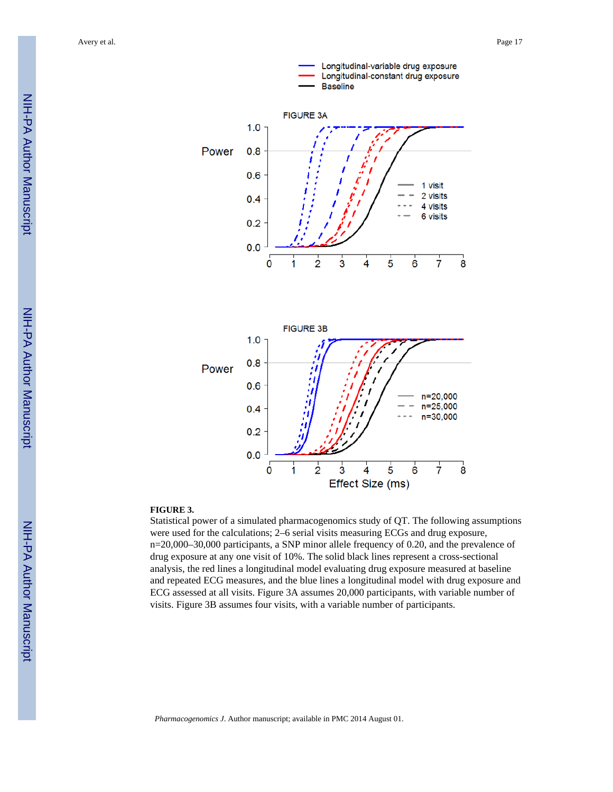

#### **FIGURE 3.**

Statistical power of a simulated pharmacogenomics study of QT. The following assumptions were used for the calculations; 2–6 serial visits measuring ECGs and drug exposure, n=20,000–30,000 participants, a SNP minor allele frequency of 0.20, and the prevalence of drug exposure at any one visit of 10%. The solid black lines represent a cross-sectional analysis, the red lines a longitudinal model evaluating drug exposure measured at baseline and repeated ECG measures, and the blue lines a longitudinal model with drug exposure and ECG assessed at all visits. Figure 3A assumes 20,000 participants, with variable number of visits. Figure 3B assumes four visits, with a variable number of participants.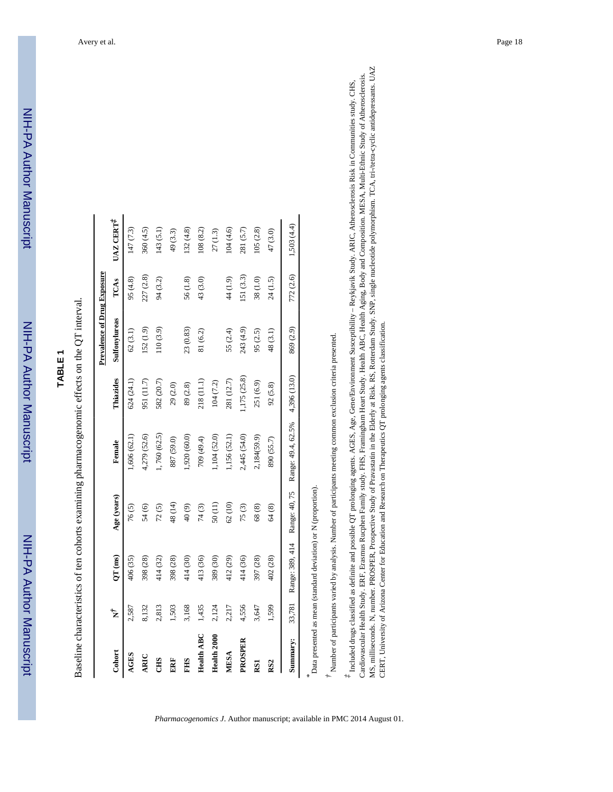| יווווח<br>אווווסו        |
|--------------------------|
|                          |
|                          |
|                          |
|                          |
|                          |
|                          |
|                          |
|                          |
|                          |
|                          |
|                          |
|                          |
|                          |
|                          |
| <u>.</u><br>באווי האראיי |
|                          |
|                          |
|                          |
|                          |
|                          |

# **TABLE 1**

Baseline characteristics of ten cohorts examining pharmacogenomic effects on the QT interval. Baseline characteristics of ten cohorts examining pharmacogenomic effects on the QT interval.

|                   |        |                                                                |             |                                  |              | <b>Prevalence of Drug Exposure</b> |           |           |
|-------------------|--------|----------------------------------------------------------------|-------------|----------------------------------|--------------|------------------------------------|-----------|-----------|
| Cohort            | Ì,     | $QT$ (ms)                                                      | Age (years) | Female                           | Thiazides    | Sulfonylureas                      | TCAS      | UAZ CERT  |
| <b>AGES</b>       | 2,587  | 406 (35)                                                       | 76(5)       | ,606(62.1)                       | 624 (24.1)   | 62(3.1)                            | 95(4.8)   | 147 (7.3) |
| ARIC              | 8,132  | 398 (28)                                                       | 54(6)       | 4,279 (52.6)                     | 951 (11.7)   | 152 (1.9)                          | 227 (2.8) | 360 (4.5) |
| <b>CHS</b>        | 2,813  | 414 (32)                                                       | 72(5)       | 1,760 (62.5)                     | 582 (20.7)   | (10(3.9))                          | 94 (3.2)  | (43(5.1)  |
| ERF               | 1,503  | 398 (28)                                                       | 48 (14)     | 887 (59.0)                       | 29(2.0)      |                                    |           | 49 (3.3)  |
| <b>SHP</b>        | 3,168  | 414 (30)                                                       | $(6)$ 04    | 1,920(60.0)                      | 89(2.8)      | 23 (0.83)                          | 56(1.8)   | 132(4.8)  |
| <b>Health ABC</b> | 1,435  | 413 (36)                                                       | 74(3)       | 709 (49.4)                       | 218 (11.1)   | 81 (6.2)                           | 43 (3.0)  | .08(8.2)  |
| Health 2000       | 2,124  | 389 (30)                                                       | 50(11)      | $1,104$ (52.0)                   | 104 (7.2)    |                                    |           | 27(1.3)   |
| <b>MESA</b>       | 2,217  | 412 (29)                                                       | 62(10)      | 1,156 (52.1)                     | 281 (12.7)   | 55 (2.4)                           | 44 (1.9)  | 104(4.6)  |
| PROSPER           | 4,556  | 414 (36)                                                       | 75(3)       | 2,445 (54.0)                     | ,175(25.8)   | 243 (4.9)                          | .51(3.3)  | 281 (5.7) |
| RS1               | 3,647  | 397 (28)                                                       | 68(8)       | 2,184(59.9)                      | 251 (6.9)    | 95 (2.5)                           | 38(1.0)   | (05(2.8)) |
| RS <sub>2</sub>   | 1,599  | 402 (28)                                                       | 64(8)       | 890 (55.7)                       | 92(5.8)      | 48 (3.1)                           | 24 (1.5)  | 47 (3.0)  |
| Summary:          | 33,781 | Range: 389, 414                                                |             | Range: 40, 75 Range: 49.4, 62.5% | 4,396 (13.0) | 869 (2.9)                          | 772 (2.6) | .503(4.4) |
|                   |        | Data presented as mean (standard deviation) or N (proportion). |             |                                  |              |                                    |           |           |

 $^{\dagger}$  Number of participants varied by analysis. Number of participants meeting common exclusion criteria presented. *†* Number of participants varied by analysis. Number of participants meeting common exclusion criteria presented.

MS, milliseconds. N, number. PROSPER, Prospective Study of Pravastatin in the Elderly at Risk. RS, Rotterdam Study. SNP, single nucleotide polymorphism. TCA, tri-vietra-cyclic antidepressants. UAZ MS, milliseconds. N, number. PROSPER, Prospective Study of Pravastatin in the Elderly at Risk. RS, Rotterdam Study. SNP, single nucleotide polymorphism. TCA, tri-/tetra-cyclic antidepressants. UAZ Cardiovascular Health Study. ERF, Erasmus Rucphen Family study. FHS, Framingham Heart Study. Health ABC, Health Aging, Body and Composition. MESA, Multi-Ethnic Study of Atherosclerosis. Cardiovascular Health Study. ERF, Erasmus Rucphen Family study. FHS, Framingham Heart Study. Health ABC, Health Aging, Body and Composition. MESA, Multi-Ethnic Study of Atherosclerosis.  $^*$  Included drugs classified as definite and possible QT prolonging agents. AGES, Age, Gene/Environment Susceptibility - Reykjavik Study. ARIC, Atherosclerosis Risk in Communities study. CHS, *‡* Included drugs classified as definite and possible QT prolonging agents. AGES, Age, Gene/Environment Susceptibility – Reykjavik Study. ARIC, Atherosclerosis Risk in Communities study. CHS, CERT, University of Arizona Center for Education and Research on Therapeutics QT prolonging agents classification. CERT, University of Arizona Center for Education and Research on Therapeutics QT prolonging agents classification.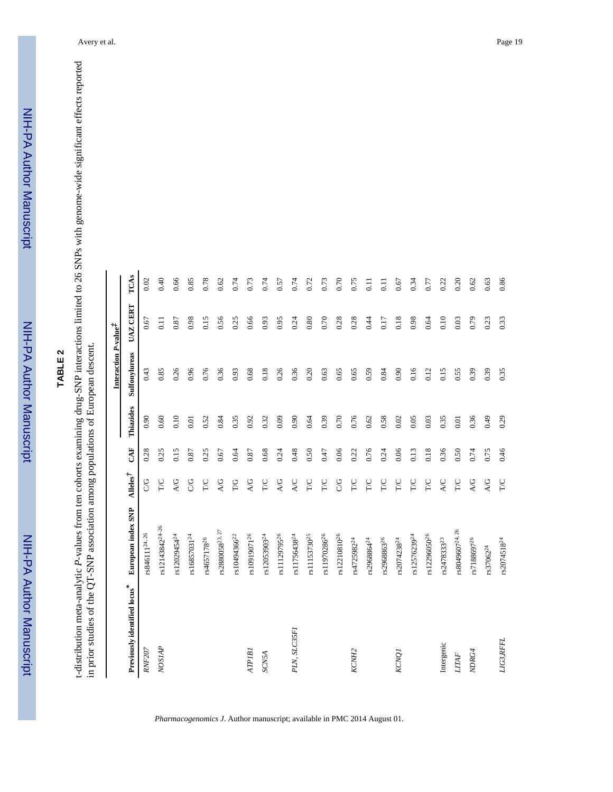# **TABLE 2**

t-distribution meta-analytic P-values from ten cohorts examining drug-SNP interactions limited to 26 SNPs with genome-wide significant effects reported<br>in prior studies of the QT-SNP association among populations of Europe *P*-values from ten cohorts examining drug-SNP interactions limited to 26 SNPs with genome-wide significant effects reported in prior studies of the QT-SNP association among populations of European descent. t-distribution meta-analytic

|                                          |                              |                   |      |           | Interaction P-value <sup>7</sup> |                 |      |
|------------------------------------------|------------------------------|-------------------|------|-----------|----------------------------------|-----------------|------|
| Previously identified locus <sup>*</sup> | European index SNP           | Alleles $\dot{t}$ | CAF  | Thiazides | Sulfonylureas                    | <b>UAZ CERT</b> | TCAS |
| <b>RNF207</b>                            | rs846111 <sup>24,26</sup>    | 9<br>O            | 0.28 | 0.90      | 0.43                             | 0.67            | 0.02 |
| NOSIAP                                   | rs12143842 <sup>24-26</sup>  | <b>D</b>          | 0.25 | 0.60      | 0.85                             | 0.11            | 0.40 |
|                                          | rs12029454 <sup>24</sup>     | A/G               | 0.15 | 0.10      | 0.26                             | 0.87            | 0.66 |
|                                          | rs16857031 <sup>24</sup>     | SG                | 0.87 | 0.01      | 0.96                             | 0.98            | 0.85 |
|                                          | rs4657178 <sup>26</sup>      | <b>D/L</b>        | 0.25 | 0.52      | 0.76                             | 0.15            | 0.78 |
|                                          | $\verb rs2880058 ^{23,\,27}$ | A/G               | 0.67 | 0.84      | 0.36                             | 0.56            | 0.62 |
|                                          | rs10494366 <sup>22</sup>     | $\Gamma G$        | 0.64 | 0.35      | 0.93                             | 0.25            | 0.74 |
| ATPIBI                                   | rs10919071 <sup>26</sup>     | A/G               | 0.87 | 0.92      | 0.68                             | 0.66            | 0.73 |
| SCN5A                                    | rs12053903 <sup>24</sup>     | <b>D/L</b>        | 0.68 | 0.32      | 0.18                             | 0.93            | 0.74 |
|                                          | rs11129795 <sup>26</sup>     | A/G               | 0.24 | 0.09      | 0.26                             | 0.95            | 0.57 |
| PLN, SLC35F1                             | rs11756438 <sup>24</sup>     | <b>A/C</b>        | 0.48 | 0.90      | 0.36                             | 0.24            | 0.74 |
|                                          | rs11153730 <sup>25</sup>     | <b>T/C</b>        | 0.50 | 0.64      | 0.20                             | 0.80            | 0.72 |
|                                          | rs11970286 <sup>26</sup>     | $\Gamma C$        | 0.47 | 0.39      | 0.63                             | 0.70            | 0.73 |
|                                          | rs12210810 <sup>26</sup>     | <b>CG</b>         | 0.06 | 0.70      | 0.65                             | 0.28            | 0.70 |
| KCNH <sub>2</sub>                        | rs4725982 <sup>24</sup>      | $_{\rm TC}$       | 0.22 | 0.76      | 0.65                             | 0.28            | 0.75 |
|                                          | rs2968864 <sup>24</sup>      | <b>T/C</b>        | 0.76 | 0.62      | 0.59                             | 0.44            | 0.11 |
|                                          | rs2968863 <sup>26</sup>      | <b>D/L</b>        | 0.24 | 0.58      | 0.84                             | 0.17            | 0.11 |
| <b>KCNO</b>                              | rs2074238 <sup>24</sup>      | <b>D/L</b>        | 0.06 | 0.02      | 0.90                             | 0.18            | 0.67 |
|                                          | rs12576239 <sup>24</sup>     | <b>D/L</b>        | 0.13 | 0.05      | 0.16                             | 0.98            | 0.34 |
|                                          | rs12296050 <sup>26</sup>     | <b>T/C</b>        | 0.18 | 0.03      | 0.12                             | 0.64            | 0.77 |
| Intergenic                               | rs2478333 <sup>23</sup>      | <b>A/C</b>        | 0.36 | 0.35      | 0.15                             | 0.10            | 0.22 |
| <b>LITAF</b>                             | rs8049607 <sup>24, 26</sup>  | <b>D/L</b>        | 0.50 | 0.01      | 0.55                             | 0.03            | 0.20 |
| NDRG4                                    | rs7188697 <sup>26</sup>      | A/G               | 0.74 | 0.36      | 0.39                             | 0.79            | 0.62 |
|                                          | $\textrm{rs}37062^{24}$      | A/G               | 0.75 | 0.49      | 0.39                             | 0.23            | 0.63 |
| LIG3,RFFL                                | rs2074518 <sup>24</sup>      | $\Gamma C$        | 0.46 | 0.29      | 0.35                             | 0.33            | 0.86 |